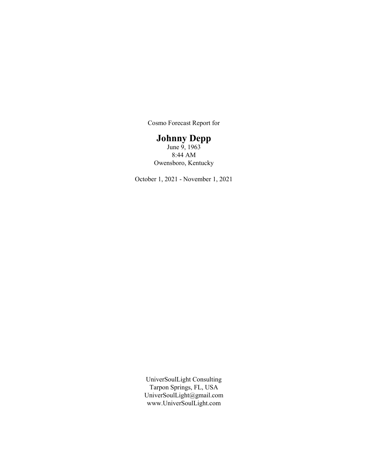Cosmo Forecast Report for

# Johnny Depp

June  $\ddot{9}$ , 1963 8:44 AM Owensboro, Kentucky

October 1, 2021 - November 1, 2021

UniverSoulLight Consulting Tarpon Springs, FL, USA UniverSoulLight@gmail.com www.UniverSoulLight.com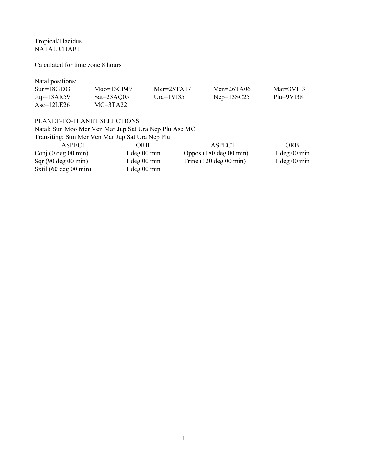Tropical/Placidus NATAL CHART

Calculated for time zone 8 hours

Natal positions:

| $Sun=18GE03$        | $Moo=13CP49$ | $Mer = 25TA17$ | $Ven = 26TA06$ | Mar= $3V113$ |
|---------------------|--------------|----------------|----------------|--------------|
| $Jup=13AR59$        | $Sat=23AQ05$ | Ura= $1V135$   | $Nep=13SC25$   | $Plu=9VI38$  |
| $\text{Asc=12LE26}$ | $MC=3TA22$   |                |                |              |

# PLANET-TO-PLANET SELECTIONS

Natal: Sun Moo Mer Ven Mar Jup Sat Ura Nep Plu Asc MC

| Transiting: Sun Mer Ven Mar Jup Sat Ura Nep Plu |                  |                            |                  |
|-------------------------------------------------|------------------|----------------------------|------------------|
| <b>ASPECT</b>                                   | ORB              | ASPECT                     | <b>ORB</b>       |
| Conj $(0 \deg 00 \min)$                         | $1 \deg 00 \min$ | Oppos $(180 \deg 00 \min)$ | $1 \deg 00 \min$ |
| Sqr(90 deg 00 min)                              | $1 \deg 00 \min$ | Trine $(120 \deg 00 \min)$ | $1 \deg 00 \min$ |
| Sxtil $(60 \deg 00 \min)$                       | $1 \deg 00 \min$ |                            |                  |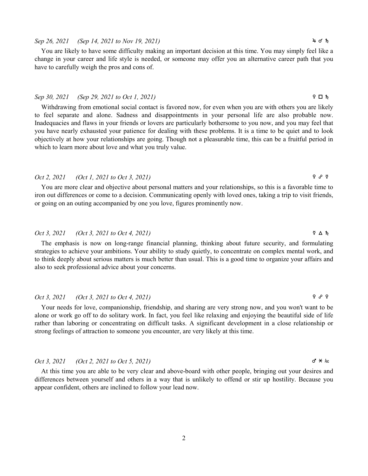### 2

### Sep 26, 2021 (Sep 14, 2021 to Nov 19, 2021)  $4 \sigma h$

You are likely to have some difficulty making an important decision at this time. You may simply feel like a change in your career and life style is needed, or someone may offer you an alternative career path that you have to carefully weigh the pros and cons of.

### $Sep\;30,\;2021$  (Sep 29, 2021 to Oct 1, 2021)  $\Omega$  is the set of intervals of  $\Box$  intervals of  $\Box$  intervals of  $\Box$  intervals of  $\Box$  intervals of  $\Box$  intervals of  $\Box$  intervals of  $\Box$  intervals of  $\Box$  intervals of

Withdrawing from emotional social contact is favored now, for even when you are with others you are likely to feel separate and alone. Sadness and disappointments in your personal life are also probable now. Inadequacies and flaws in your friends or lovers are particularly bothersome to you now, and you may feel that you have nearly exhausted your patience for dealing with these problems. It is a time to be quiet and to look objectively at how your relationships are going. Though not a pleasurable time, this can be a fruitful period in which to learn more about love and what you truly value.

# Oct 2, 2021 (Oct 1, 2021 to Oct 3, 2021)  $\qquad \qquad$   $\qquad \qquad$   $\qquad \qquad$   $\qquad \qquad$   $\qquad \qquad$   $\qquad \qquad$   $\qquad \qquad$   $\qquad \qquad$   $\qquad \qquad$   $\qquad \qquad$   $\qquad \qquad$   $\qquad \qquad$   $\qquad \qquad$   $\qquad \qquad$   $\qquad \qquad$   $\qquad \qquad$   $\qquad \qquad$   $\qquad \qquad$   $\qquad \qquad$   $\qquad \qquad$

You are more clear and objective about personal matters and your relationships, so this is a favorable time to iron out differences or come to a decision. Communicating openly with loved ones, taking a trip to visit friends, or going on an outing accompanied by one you love, figures prominently now.

### Oct 3, 2021 (Oct 3, 2021 to Oct 4, 2021) d b j

The emphasis is now on long-range financial planning, thinking about future security, and formulating strategies to achieve your ambitions. Your ability to study quietly, to concentrate on complex mental work, and to think deeply about serious matters is much better than usual. This is a good time to organize your affairs and also to seek professional advice about your concerns.

### Oct 3, 2021 (Oct 3, 2021 to Oct 4, 2021)  $\qquad \qquad$   $\qquad \qquad$   $\qquad \qquad$   $\qquad \qquad$   $\qquad \qquad$   $\qquad \qquad$   $\qquad \qquad$   $\qquad \qquad$   $\qquad \qquad$   $\qquad \qquad$   $\qquad \qquad$   $\qquad \qquad$   $\qquad \qquad$   $\qquad \qquad$   $\qquad \qquad$   $\qquad \qquad$   $\qquad \qquad$   $\qquad \qquad$   $\qquad \qquad$   $\qquad \qquad$

Your needs for love, companionship, friendship, and sharing are very strong now, and you won't want to be alone or work go off to do solitary work. In fact, you feel like relaxing and enjoying the beautiful side of life rather than laboring or concentrating on difficult tasks. A significant development in a close relationship or strong feelings of attraction to someone you encounter, are very likely at this time.

# $Oct 3, 2021$  (Oct 2, 2021 to Oct 5, 2021) g  $\star k_{\infty}$

At this time you are able to be very clear and above-board with other people, bringing out your desires and differences between yourself and others in a way that is unlikely to offend or stir up hostility. Because you appear confident, others are inclined to follow your lead now.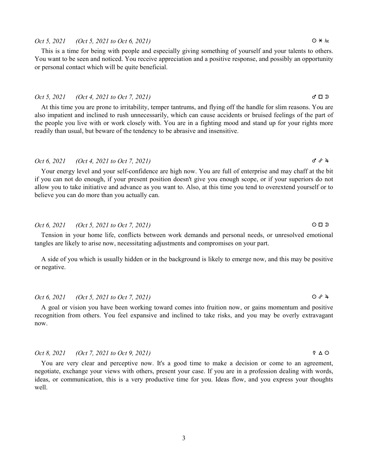### 3

### $Oct 5, 2021$  (Oct 5, 2021 to Oct 6, 2021)  $Q \times kx$

This is a time for being with people and especially giving something of yourself and your talents to others. You want to be seen and noticed. You receive appreciation and a positive response, and possibly an opportunity or personal contact which will be quite beneficial.

### Oct 5, 2021 (Oct 4, 2021 to Oct 7, 2021)  $\sigma \Box$

At this time you are prone to irritability, temper tantrums, and flying off the handle for slim reasons. You are also impatient and inclined to rush unnecessarily, which can cause accidents or bruised feelings of the part of the people you live with or work closely with. You are in a fighting mood and stand up for your rights more readily than usual, but beware of the tendency to be abrasive and insensitive.

### Oct 6, 2021 (Oct 4, 2021 to Oct 7, 2021)  $\sigma^2 \theta^2 + \sigma^3$

Your energy level and your self-confidence are high now. You are full of enterprise and may chaff at the bit if you can not do enough, if your present position doesn't give you enough scope, or if your superiors do not allow you to take initiative and advance as you want to. Also, at this time you tend to overextend yourself or to believe you can do more than you actually can.

### Oct 6, 2021 (Oct 5, 2021 to Oct 7, 2021)  $\Box$

Tension in your home life, conflicts between work demands and personal needs, or unresolved emotional tangles are likely to arise now, necessitating adjustments and compromises on your part.

A side of you which is usually hidden or in the background is likely to emerge now, and this may be positive or negative.

### Oct 6, 2021 (Oct 5, 2021 to Oct 7, 2021) a x h

A goal or vision you have been working toward comes into fruition now, or gains momentum and positive recognition from others. You feel expansive and inclined to take risks, and you may be overly extravagant now.

### Oct 8, 2021 (Oct 7, 2021 to Oct 9, 2021) d b a

You are very clear and perceptive now. It's a good time to make a decision or come to an agreement, negotiate, exchange your views with others, present your case. If you are in a profession dealing with words, ideas, or communication, this is a very productive time for you. Ideas flow, and you express your thoughts well.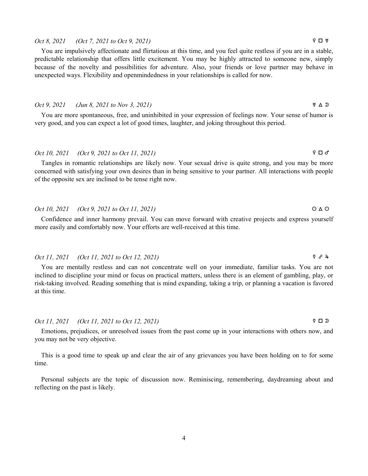### Oct 8, 2021 (Oct 7, 2021 to Oct 9, 2021)  $\Box$   $\Box$   $\Box$

You are impulsively affectionate and flirtatious at this time, and you feel quite restless if you are in a stable, predictable relationship that offers little excitement. You may be highly attracted to someone new, simply because of the novelty and possibilities for adventure. Also, your friends or love partner may behave in unexpected ways. Flexibility and openmindedness in your relationships is called for now.

### Oct 9, 2021 (Jun 8, 2021 to Nov 3, 2021)  $\forall \Delta \mathfrak{D}$

You are more spontaneous, free, and uninhibited in your expression of feelings now. Your sense of humor is very good, and you can expect a lot of good times, laughter, and joking throughout this period.

# Oct 10, 2021 (Oct 9, 2021 to Oct 11, 2021) f c g

Tangles in romantic relationships are likely now. Your sexual drive is quite strong, and you may be more concerned with satisfying your own desires than in being sensitive to your partner. All interactions with people of the opposite sex are inclined to be tense right now.

# Oct 10, 2021 (Oct 9, 2021 to Oct 11, 2021)  $\bigcirc \Delta \circ$

Confidence and inner harmony prevail. You can move forward with creative projects and express yourself more easily and comfortably now. Your efforts are well-received at this time.

### Oct 11, 2021 (Oct 11, 2021 to Oct 12, 2021) d x h

You are mentally restless and can not concentrate well on your immediate, familiar tasks. You are not inclined to discipline your mind or focus on practical matters, unless there is an element of gambling, play, or risk-taking involved. Reading something that is mind expanding, taking a trip, or planning a vacation is favored at this time.

### Oct 11, 2021 (Oct 11, 2021 to Oct 12, 2021) d c s

Emotions, prejudices, or unresolved issues from the past come up in your interactions with others now, and you may not be very objective.

This is a good time to speak up and clear the air of any grievances you have been holding on to for some time.

Personal subjects are the topic of discussion now. Reminiscing, remembering, daydreaming about and reflecting on the past is likely.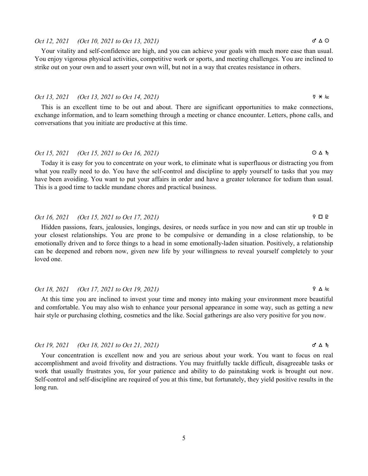# Oct 12, 2021 (Oct 10, 2021 to Oct 13, 2021)  $\sigma^* \Delta \Omega$

Your vitality and self-confidence are high, and you can achieve your goals with much more ease than usual. You enjoy vigorous physical activities, competitive work or sports, and meeting challenges. You are inclined to strike out on your own and to assert your own will, but not in a way that creates resistance in others.

### Oct 13, 2021 (Oct 13, 2021 to Oct 14, 2021) d n S

This is an excellent time to be out and about. There are significant opportunities to make connections, exchange information, and to learn something through a meeting or chance encounter. Letters, phone calls, and conversations that you initiate are productive at this time.

# Oct 15, 2021 (Oct 15, 2021 to Oct 16, 2021)  $\bigcirc \Delta h$

Today it is easy for you to concentrate on your work, to eliminate what is superfluous or distracting you from what you really need to do. You have the self-control and discipline to apply yourself to tasks that you may have been avoiding. You want to put your affairs in order and have a greater tolerance for tedium than usual. This is a good time to tackle mundane chores and practical business.

# Oct 16, 2021 (Oct 15, 2021 to Oct 17, 2021)  $\qquad \qquad$   $\Box$   $\Box$

Hidden passions, fears, jealousies, longings, desires, or needs surface in you now and can stir up trouble in your closest relationships. You are prone to be compulsive or demanding in a close relationship, to be emotionally driven and to force things to a head in some emotionally-laden situation. Positively, a relationship can be deepened and reborn now, given new life by your willingness to reveal yourself completely to your loved one.

### Oct 18, 2021 (Oct 17, 2021 to Oct 19, 2021)  $\Omega$   $\Delta$  As

At this time you are inclined to invest your time and money into making your environment more beautiful and comfortable. You may also wish to enhance your personal appearance in some way, such as getting a new hair style or purchasing clothing, cosmetics and the like. Social gatherings are also very positive for you now.

### Oct 19, 2021 (Oct 18, 2021 to Oct 21, 2021)  $\sigma \Delta h$

Your concentration is excellent now and you are serious about your work. You want to focus on real accomplishment and avoid frivolity and distractions. You may fruitfully tackle difficult, disagreeable tasks or work that usually frustrates you, for your patience and ability to do painstaking work is brought out now. Self-control and self-discipline are required of you at this time, but fortunately, they yield positive results in the long run.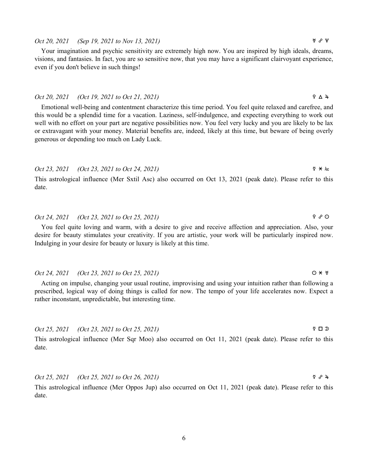# Oct 20, 2021 (Sep 19, 2021 to Nov 13, 2021)  $\forall x \in \mathbb{R}$

Your imagination and psychic sensitivity are extremely high now. You are inspired by high ideals, dreams, visions, and fantasies. In fact, you are so sensitive now, that you may have a significant clairvoyant experience, even if you don't believe in such things!

### Oct 20, 2021 (Oct 19, 2021 to Oct 21, 2021)  $\qquad \qquad$   $\qquad \qquad$   $\qquad \qquad$   $\qquad \qquad$   $\qquad \qquad$   $\qquad \qquad$   $\qquad \qquad$   $\qquad \qquad$   $\qquad \qquad$   $\qquad \qquad$   $\qquad \qquad$   $\qquad \qquad$   $\qquad \qquad$   $\qquad \qquad$   $\qquad \qquad$   $\qquad \qquad$   $\qquad \qquad$   $\qquad \qquad$   $\qquad \qquad$   $\qquad \q$

Emotional well-being and contentment characterize this time period. You feel quite relaxed and carefree, and this would be a splendid time for a vacation. Laziness, self-indulgence, and expecting everything to work out well with no effort on your part are negative possibilities now. You feel very lucky and you are likely to be lax or extravagant with your money. Material benefits are, indeed, likely at this time, but beware of being overly generous or depending too much on Lady Luck.

# Oct 23, 2021 (Oct 23, 2021 to Oct 24, 2021)  $\forall x \neq 0$

This astrological influence (Mer Sxtil Asc) also occurred on Oct 13, 2021 (peak date). Please refer to this date.

# Oct 24, 2021 (Oct 23, 2021 to Oct 25, 2021)  $\qquad \qquad$   $\qquad \qquad$   $\qquad \qquad$   $\qquad \qquad$   $\qquad \qquad$   $\qquad \qquad$   $\qquad \qquad$   $\qquad \qquad$   $\qquad \qquad$   $\qquad \qquad$   $\qquad \qquad$   $\qquad \qquad$   $\qquad \qquad$   $\qquad \qquad$   $\qquad \qquad$   $\qquad \qquad$   $\qquad \qquad$   $\qquad \qquad$   $\qquad \qquad$   $\qquad \q$

You feel quite loving and warm, with a desire to give and receive affection and appreciation. Also, your desire for beauty stimulates your creativity. If you are artistic, your work will be particularly inspired now. Indulging in your desire for beauty or luxury is likely at this time.

### Oct 24, 2021 (Oct 23, 2021 to Oct 25, 2021)  $\bigcirc \star \forall$

Acting on impulse, changing your usual routine, improvising and using your intuition rather than following a prescribed, logical way of doing things is called for now. The tempo of your life accelerates now. Expect a rather inconstant, unpredictable, but interesting time.

Oct 25, 2021 (Oct 23, 2021 to Oct 25, 2021) d c s

This astrological influence (Mer Sqr Moo) also occurred on Oct 11, 2021 (peak date). Please refer to this date.

Oct 25, 2021 (Oct 25, 2021 to Oct 26, 2021)  $\qquad \qquad$   $\qquad \qquad$   $\qquad \qquad$   $\qquad \qquad$   $\qquad \qquad$   $\qquad \qquad$   $\qquad \qquad$   $\qquad \qquad$   $\qquad \qquad$   $\qquad \qquad$   $\qquad \qquad$   $\qquad \qquad$   $\qquad \qquad$   $\qquad \qquad$   $\qquad \qquad$   $\qquad \qquad$   $\qquad \qquad$   $\qquad \qquad$   $\qquad \qquad$   $\qquad \q$ 

This astrological influence (Mer Oppos Jup) also occurred on Oct 11, 2021 (peak date). Please refer to this date.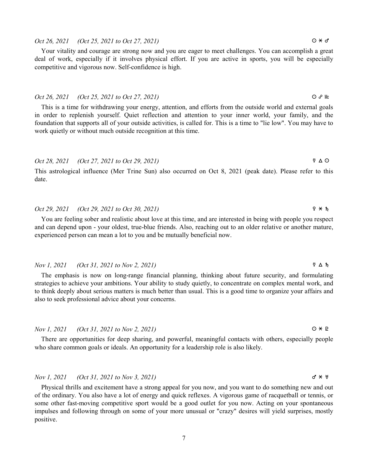# 7

# $Oct 26, 2021$  (Oct 25, 2021 to Oct 27, 2021)  $Q \times \sigma$

Your vitality and courage are strong now and you are eager to meet challenges. You can accomplish a great deal of work, especially if it involves physical effort. If you are active in sports, you will be especially competitive and vigorous now. Self-confidence is high.

### $Oct 26, 2021$  (Oct 25, 2021 to Oct 27, 2021)  $\bigcirc$   $\mathcal{S}$  Mc

This is a time for withdrawing your energy, attention, and efforts from the outside world and external goals in order to replenish yourself. Quiet reflection and attention to your inner world, your family, and the foundation that supports all of your outside activities, is called for. This is a time to "lie low". You may have to work quietly or without much outside recognition at this time.

# Oct 28, 2021 (Oct 27, 2021 to Oct 29, 2021) d b a

This astrological influence (Mer Trine Sun) also occurred on Oct 8, 2021 (peak date). Please refer to this date.

### Oct 29, 2021 (Oct 29, 2021 to Oct 30, 2021)  $9 \times h$

You are feeling sober and realistic about love at this time, and are interested in being with people you respect and can depend upon - your oldest, true-blue friends. Also, reaching out to an older relative or another mature, experienced person can mean a lot to you and be mutually beneficial now.

### Nov 1, 2021 (Oct 31, 2021 to Nov 2, 2021) d b j

The emphasis is now on long-range financial planning, thinking about future security, and formulating strategies to achieve your ambitions. Your ability to study quietly, to concentrate on complex mental work, and to think deeply about serious matters is much better than usual. This is a good time to organize your affairs and also to seek professional advice about your concerns.

### Nov 1, 2021 (Oct 31, 2021 to Nov 2, 2021)  $\bigcirc \ast P$

There are opportunities for deep sharing, and powerful, meaningful contacts with others, especially people who share common goals or ideals. An opportunity for a leadership role is also likely.

# $Nov \, I$ , 2021 (Oct 31, 2021 to Nov 3, 2021) g  $\forall * \forall$

Physical thrills and excitement have a strong appeal for you now, and you want to do something new and out of the ordinary. You also have a lot of energy and quick reflexes. A vigorous game of racquetball or tennis, or some other fast-moving competitive sport would be a good outlet for you now. Acting on your spontaneous impulses and following through on some of your more unusual or "crazy" desires will yield surprises, mostly positive.